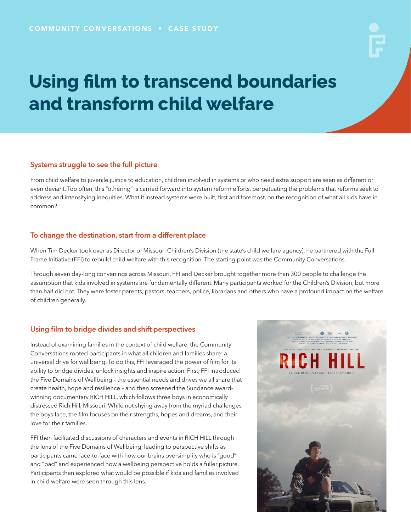# **Using film to transcend boundaries and transform child welfare**

#### Systems struggle to see the full picture

From child welfare to juvenile justice to education, children involved in systems or who need extra support are seen as different or even deviant. Too often, this "othering" is carried forward into system reform efforts, perpetuating the problems that reforms seek to address and intensifying inequities. What if instead systems were built, first and foremost, on the recognition of what all kids have in common?

#### To change the destination, start from a different place

When Tim Decker took over as Director of Missouri Children's Division (the state's child welfare agency), he partnered with the Full Frame Initiative (FFI) to rebuild child welfare with this recognition. The starting point was the Community Conversations.

Through seven day-long convenings across Missouri, FFI and Decker brought together more than 300 people to challenge the assumption that kids involved in systems are fundamentally different. Many participants worked for the Children's Division, but more than half did not. They were foster parents, pastors, teachers, police, librarians and others who have a profound impact on the welfare of children generally.

### Using film to bridge divides and shift perspectives

Instead of examining families in the context of child welfare, the Community Conversations rooted participants in what all children and families share: a universal drive for wellbeing. To do this, FFI leveraged the power of film for its ability to bridge divides, unlock insights and inspire action. First, FFI introduced the Five Domains of Wellbeing – the essential needs and drives we all share that create health, hope and resilience – and then screened the Sundance awardwinning documentary RICH HILL, which follows three boys in economically distressed Rich Hill, Missouri. While not shying away from the myriad challenges the boys face, the film focuses on their strengths, hopes and dreams, and their love for their families.

FFI then facilitated discussions of characters and events in RICH HILL through the lens of the Five Domains of Wellbeing, leading to perspective shifts as participants came face-to-face with how our brains oversimplify who is "good" and "bad" and experienced how a wellbeing perspective holds a fuller picture. Participants then explored what would be possible if kids and families involved in child welfare were seen through this lens.